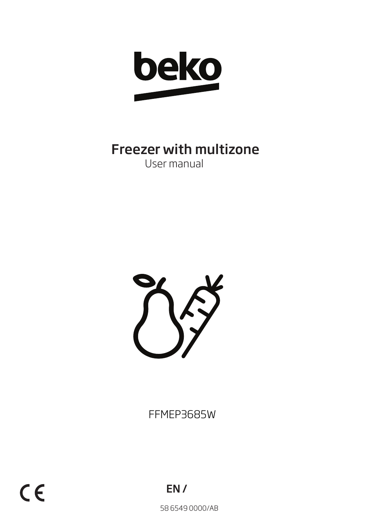

# Freezer with multizone

User manual



FFMEP3685W

58 6549 0000/AB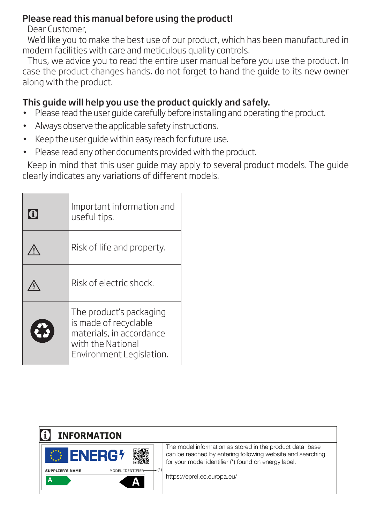## Please read this manual before using the product!

Dear Customer,

We'd like you to make the best use of our product, which has been manufactured in modern facilities with care and meticulous quality controls.

Thus, we advice you to read the entire user manual before you use the product. In case the product changes hands, do not forget to hand the guide to its new owner along with the product.

## This guide will help you use the product quickly and safely.

- Please read the user quide carefully before installing and operating the product.
- Always observe the applicable safety instructions.
- Keep the user guide within easy reach for future use.
- Please read any other documents provided with the product.

Keep in mind that this user guide may apply to several product models. The guide clearly indicates any variations of different models.

| A               | Important information and<br>useful tips.                                                                                     |  |
|-----------------|-------------------------------------------------------------------------------------------------------------------------------|--|
|                 | Risk of life and property.                                                                                                    |  |
|                 | Risk of electric shock.                                                                                                       |  |
| $\blacklozenge$ | The product's packaging<br>is made of recyclable<br>materials, in accordance<br>with the National<br>Environment Legislation. |  |

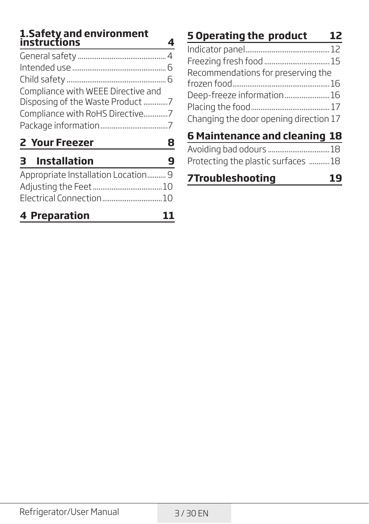## **1.Safety and environment instructions 4**

| Compliance with WEEE Directive and |  |
|------------------------------------|--|
| Disposing of the Waste Product 7   |  |
| Compliance with RoHS Directive7    |  |
|                                    |  |
|                                    |  |

# **2 Your Freezer 8**

**3 Installation 9**

| Appropriate Installation Location 9 |  |
|-------------------------------------|--|
|                                     |  |
|                                     |  |

# **4 Preparation 11**

# **5 Operating the product 12**

| Recommendations for preserving the     |  |
|----------------------------------------|--|
|                                        |  |
| Deep-freeze information16              |  |
|                                        |  |
| Changing the door opening direction 17 |  |

| <b>6 Maintenance and cleaning 18</b> |  |
|--------------------------------------|--|
|                                      |  |
| Protecting the plastic surfaces 18   |  |

| <b>7Troubleshooting</b> |
|-------------------------|
|-------------------------|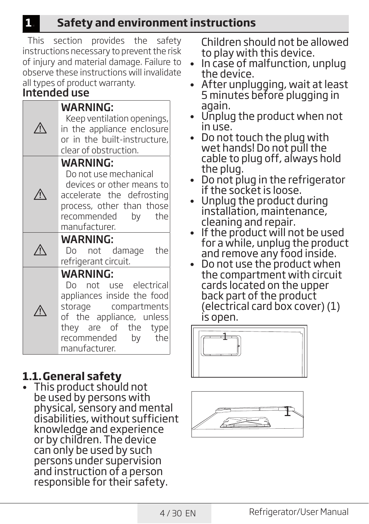# **1. Safety and environment instructions**

This section provides the safety instructions necessary to prevent the risk of injury and material damage. Failure to observe these instructions will invalidate all types of product warranty.

# Intended use

| <b>WARNING:</b><br>Keep ventilation openings,<br>in the appliance enclosure<br>or in the built-instructure,<br>clear of obstruction.                                                            |  |  |  |
|-------------------------------------------------------------------------------------------------------------------------------------------------------------------------------------------------|--|--|--|
| <b>WARNING:</b><br>Do not use mechanical<br>devices or other means to<br>accelerate the defrosting<br>process, other than those<br>recommended<br>by the<br>manufacturer.                       |  |  |  |
| WARNING:<br>Do not damage the<br>refrigerant circuit.                                                                                                                                           |  |  |  |
| <b>WARNING:</b><br>Do not use electrical<br>appliances inside the food<br>storage compartments<br>of the appliance, unless<br>they are of the type<br>recommended<br>the<br>by<br>manufacturer. |  |  |  |

# **1.1.General safety**

• This product should not be used by persons with physical, sensory and mental disabilities, without sufficient knowledge and experience or by children. The device can only be used by such persons under supervision and instruction of a person responsible for their safety.

Children should not be allowed to play with this device.

- In case of malfunction, unplug the device.
- After unplugging, wait at least 5 minutes before plugging in again.
- Unplug the product when not in use.
- Do not touch the plug with wet hands! Do not pull the cable to plug off, always hold the plug.
- Do not plug in the refrigerator if the socket is loose.
- Unplug the product during installation, maintenance, cleaning and repair.
- If the product will not be used for a while, unplug the product and remove any food inside.
- Do not use the product when the compartment with circuit cards located on the upper back part of the product (electrical card box cover) (1) is open.



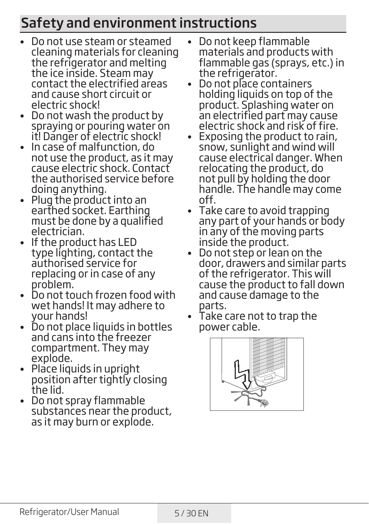# Safety and environment instructions

- Do not use steam or steamed cleaning materials for cleaning the refrigerator and melting the ice inside. Steam may contact the electrified areas and cause short circuit or electric shock!
- Do not wash the product by spraying or pouring water on it! Danger of electric shock!
- In case of malfunction, do not use the product, as it may cause electric shock. Contact the authorised service before doing anything.
- Plug the product into an earthed socket. Earthing must be done by a qualified electrician.
- If the product has LED type lighting, contact the authorised service for replacing or in case of any problem.
- Do not touch frozen food with wet hands! It may adhere to your hands!
- Do not place liquids in bottles and cans into the freezer compartment. They may explode.
- Place liquids in upright position after tightly closing the lid.
- Do not spray flammable substances near the product, as it may burn or explode.
- Do not keep flammable materials and products with flammable gas (sprays, etc.) in the refrigerator.
- Do not place containers holding liquids on top of the product. Splashing water on an electrified part may cause electric shock and risk of fire.
- Exposing the product to rain, snow, sunlight and wind will cause electrical danger. When relocating the product, do not pull by holding the door handle. The handle may come off.
- Take care to avoid trapping any part of your hands or body in any of the moving parts inside the product.
- Do not step or lean on the door, drawers and similar parts of the refrigerator. This will cause the product to fall down and cause damage to the parts.
- Take care not to trap the power cable.

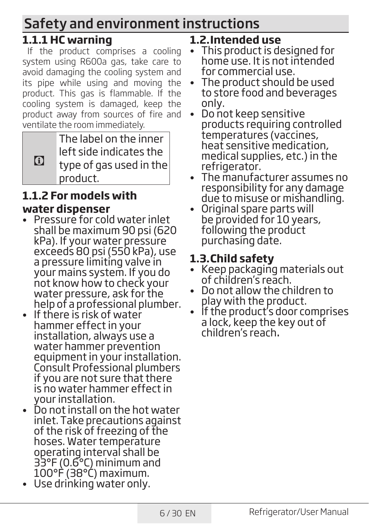# Safety and environment instructions

# **1.1.1 HC warning**

If the product comprises a cooling system using R600a gas, take care to avoid damaging the cooling system and its pipe while using and moving the product. This gas is flammable. If the cooling system is damaged, keep the product away from sources of fire and ventilate the room immediately.

> The label on the inner left side indicates the type of gas used in the product.

# **1.1.2 For models with water dispenser**

G

- Pressure for cold water inlet shall be maximum 90 psi (620 kPa). If your water pressure exceeds 80 psi (550 kPa), use a pressure limiting valve in your mains system. If you do not know how to check your water pressure, ask for the help of a professional plumber.
- If there is risk of water hammer effect in your installation, always use a water hammer prevention equipment in your installation. Consult Professional plumbers if you are not sure that there is no water hammer effect in your installation.
- Do not install on the hot water inlet. Take precautions against of the risk of freezing of the hoses. Water temperature operating interval shall be 33°F (0.6°C) minimum and 100°F (38°C) maximum.
- Use drinking water only.

# **1.2.Intended use**

- This product is designed for home use. It is not intended for commercial use.
- The product should be used to store food and beverages only.
- Do not keep sensitive products requiring controlled temperatures (vaccines, heat sensitive medication, medical supplies, etc.) in the refrigerator.
- The manufacturer assumes no responsibility for any damage due to misuse or mishandling.
- Original spare parts will be provided for 10 years, following the product purchasing date.

# **1.3.Child safety**

- Keep packaging materials out of children's reach.
- Do not allow the children to play with the product.
- If the product's door comprises a lock, keep the key out of children's reach.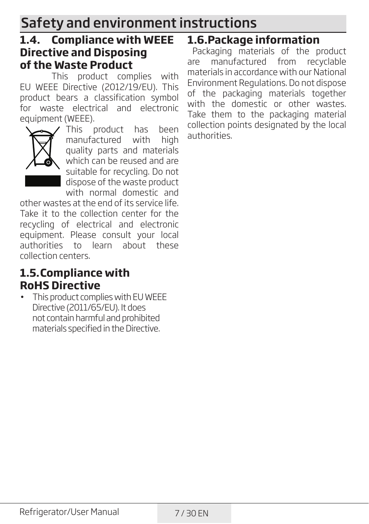# Safety and environment instructions

# **1.4. Compliance with WEEE Directive and Disposing of the Waste Product**

This product complies with EU WEEE Directive (2012/19/EU). This product bears a classification symbol for waste electrical and electronic equipment (WEEE).



This product has been manufactured with high quality parts and materials which can be reused and are suitable for recycling. Do not dispose of the waste product with normal domestic and

other wastes at the end of its service life. Take it to the collection center for the recycling of electrical and electronic equipment. Please consult your local authorities to learn about these collection centers.

# **1.5.Compliance with RoHS Directive**

• This product complies with EU WEEE Directive (2011/65/EU). It does not contain harmful and prohibited materials specified in the Directive.

# **1.6.Package information**

Packaging materials of the product are manufactured from recyclable materials in accordance with our National Environment Regulations. Do not dispose of the packaging materials together with the domestic or other wastes. Take them to the packaging material collection points designated by the local authorities.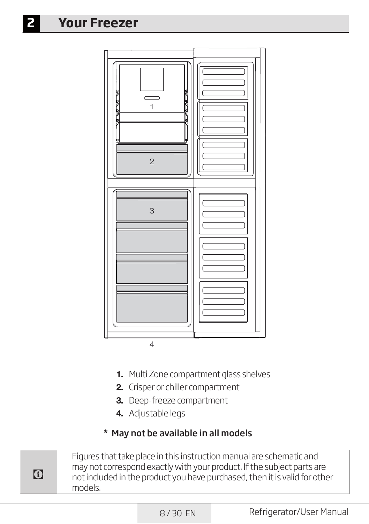

- 1. Multi Zone compartment glass shelves
- 2. Crisper or chiller compartment
- 3. Deep-freeze compartment
- 4. Adjustable legs

#### \* May not be available in all models

 $\overline{a}$  Figures that take place in this instruction manual are schematic and may not correspond exactly with your product. If the subject parts are not included in the product you have purchased, then it is valid for other models.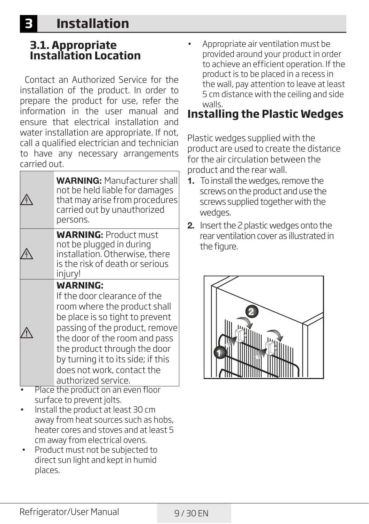# **3.1. Appropriate Installation Location**

Contact an Authorized Service for the installation of the product. In order to prepare the product for use, refer the information in the user manual and ensure that electrical installation and water installation are appropriate. If not, call a qualified electrician and technician to have any necessary arrangements carried out.

| <b>WARNING: Manufacturer shall</b><br>not be held liable for damages<br>that may arise from procedures<br>carried out by unauthorized<br>persons.                                                                                                                                                         |
|-----------------------------------------------------------------------------------------------------------------------------------------------------------------------------------------------------------------------------------------------------------------------------------------------------------|
| <b>WARNING: Product must</b><br>not be plugged in during<br>installation. Otherwise, there<br>is the risk of death or serious<br>injury!                                                                                                                                                                  |
| WARNING:<br>If the door clearance of the<br>room where the product shall<br>be place is so tight to prevent<br>passing of the product, remove<br>the door of the room and pass<br>the product through the door<br>by turning it to its side; if this<br>does not work, contact the<br>authorized service. |
| Place the product on an even floor                                                                                                                                                                                                                                                                        |

- surface to prevent jolts. • Install the product at least 30 cm away from heat sources such as hobs, heater cores and stoves and at least 5
- cm away from electrical ovens. • Product must not be subjected to direct sun light and kept in humid places.

• Appropriate air ventilation must be provided around your product in order to achieve an efficient operation. If the product is to be placed in a recess in the wall, pay attention to leave at least 5 cm distance with the ceiling and side walls.

# **Installing the Plastic Wedges**

Plastic wedges supplied with the product are used to create the distance for the air circulation between the product and the rear wall.

- 1. To install the wedges, remove the screws on the product and use the screws supplied together with the wedges.
- 2. Insert the 2 plastic wedges onto the rear ventilation cover as illustrated in the figure.

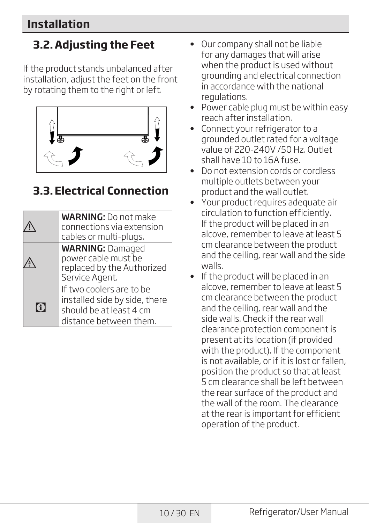# **Installation**

# **3.2.Adjusting the Feet**

If the product stands unbalanced after installation, adjust the feet on the front by rotating them to the right or left.



# **3.3.Electrical Connection**

|    | <b>WARNING:</b> Do not make<br>connections via extension<br>cables or multi-plugs.                             |  |  |  |
|----|----------------------------------------------------------------------------------------------------------------|--|--|--|
|    | <b>WARNING: Damaged</b><br>power cable must be<br>replaced by the Authorized<br>Service Agent.                 |  |  |  |
| IA | If two coolers are to be<br>installed side by side, there<br>should be at least 4 cm<br>distance between them. |  |  |  |

- Our company shall not be liable for any damages that will arise when the product is used without grounding and electrical connection in accordance with the national regulations.
- Power cable plug must be within easy reach after installation.
- Connect your refrigerator to a grounded outlet rated for a voltage value of 220-240V /50 Hz. Outlet shall have 10 to 16A fuse.
- Do not extension cords or cordless multiple outlets between your product and the wall outlet.
- Your product requires adequate air circulation to function efficiently. If the product will be placed in an alcove, remember to leave at least 5 cm clearance between the product and the ceiling, rear wall and the side walls.
- If the product will be placed in an alcove, remember to leave at least 5 cm clearance between the product and the ceiling, rear wall and the side walls. Check if the rear wall clearance protection component is present at its location (if provided with the product). If the component is not available, or if it is lost or fallen, position the product so that at least 5 cm clearance shall be left between the rear surface of the product and the wall of the room. The clearance at the rear is important for efficient operation of the product.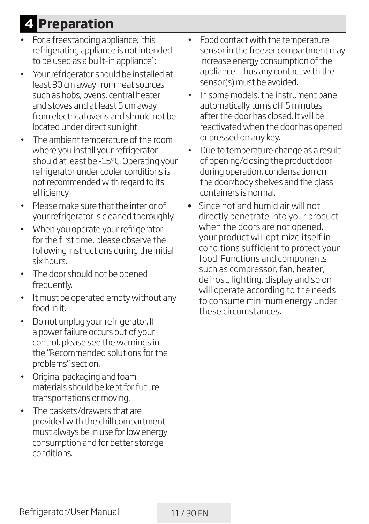# **4 Preparation**

- For a freestanding appliance; 'this refrigerating appliance is not intended to be used as a built-in appliance' ;
- Your refrigerator should be installed at least 30 cm away from heat sources such as hobs, ovens, central heater and stoves and at least 5 cm away from electrical ovens and should not be located under direct sunlight.
- The ambient temperature of the room where you install your refrigerator should at least be -15°C. Operating your refrigerator under cooler conditions is not recommended with regard to its efficiency.
- Please make sure that the interior of your refrigerator is cleaned thoroughly.
- When you operate your refrigerator for the first time, please observe the following instructions during the initial six hours.
- The door should not be opened frequently.
- It must be operated empty without any food in it.
- Do not unplug your refrigerator. If a power failure occurs out of your control, please see the warnings in the "Recommended solutions for the problems" section.
- Original packaging and foam materials should be kept for future transportations or moving.
- The baskets/drawers that are provided with the chill compartment must always be in use for low energy consumption and for better storage conditions.
- Food contact with the temperature sensor in the freezer compartment may increase energy consumption of the appliance. Thus any contact with the sensor(s) must be avoided.
- In some models, the instrument panel automatically turns off 5 minutes after the door has closed. It will be reactivated when the door has opened or pressed on any key.
- Due to temperature change as a result of opening/closing the product door during operation, condensation on the door/body shelves and the glass containers is normal.
- Since hot and humid air will not directly penetrate into your product when the doors are not opened, your product will optimize itself in conditions sufficient to protect your food. Functions and components such as compressor, fan, heater, defrost, lighting, display and so on will operate according to the needs to consume minimum energy under these circumstances.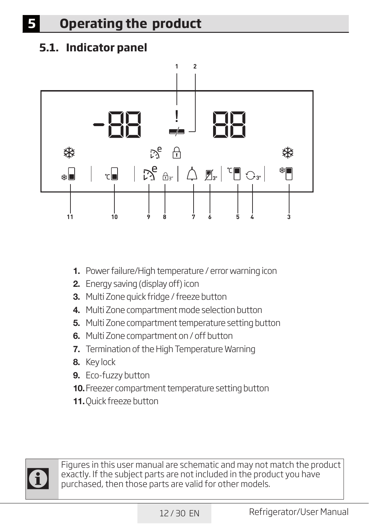# **5.1. Indicator panel**



- 1. Power failure/High temperature / error warning icon
- 2. Energy saving (display off) icon
- **3.** Multi Zone quick fridge / freeze button
- 4. Multi Zone compartment mode selection button
- **5.** Multi Zone compartment temperature setting button
- 6. Multi Zone compartment on / off button
- 7. Termination of the High Temperature Warning
- 8. Key lock
- 9. Eco-fuzzy button
- 10. Freezer compartment temperature setting button
- 11. Quick freeze button



Figures in this user manual are schematic and may not match the product<br>exactly. If the subject parts are not included in the product you have<br>purchased, then those parts are valid for other models. exactly. If the subject parts are not included in the product you have purchased, then those parts are valid for other models.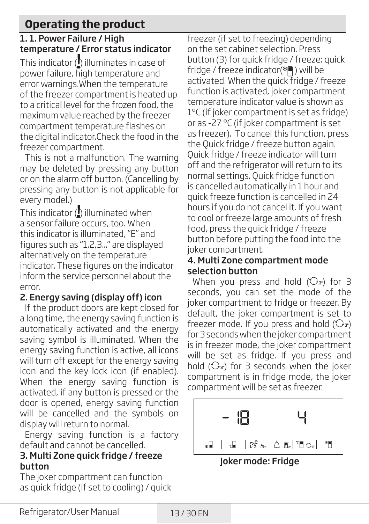## 1. 1. Power Failure / High temperature / Error status indicator

This indicator  $(\underline{\mathbb{I}})$  illuminates in case of power failure, high temperature and error warnings.When the temperature of the freezer compartment is heated up to a critical level for the frozen food, the maximum value reached by the freezer compartment temperature flashes on the digital indicator.Check the food in the freezer compartment.

This is not a malfunction. The warning may be deleted by pressing any button or on the alarm off button. (Cancelling by pressing any button is not applicable for every model.)

This indicator  $(\mathbf{I})$  illuminated when a sensor failure occurs, too. When this indicator is illuminated, "E" and figures such as "1,2,3..." are displayed alternatively on the temperature indicator. These figures on the indicator inform the service personnel about the error.

# 2. Energy saving (display off) icon

If the product doors are kept closed for a long time, the energy saving function is automatically activated and the energy saving symbol is illuminated. When the energy saving function is active, all icons will turn off except for the energy saving icon and the key lock icon (if enabled). When the energy saving function is activated, if any button is pressed or the door is opened, energy saving function will be cancelled and the symbols on display will return to normal.

Energy saving function is a factory default and cannot be cancelled.

#### 3. Multi Zone quick fridge / freeze button

The joker compartment can function as quick fridge (if set to cooling) / quick freezer (if set to freezing) depending on the set cabinet selection. Press button (3) for quick fridge / freeze; quick fridge / freeze indicator( $\sqrt[*]{\hspace{-1.2mm} \blacksquare}$ ) will be activated. When the quick fridge / freeze function is activated, joker compartment temperature indicator value is shown as 1°C (if joker compartment is set as fridge) or as -27 °C (if joker compartment is set as freezer). To cancel this function, press the Quick fridge / freeze button again. Quick fridge / freeze indicator will turn off and the refrigerator will return to its normal settings. Quick fridge function is cancelled automatically in 1 hour and quick freeze function is cancelled in 24 hours if you do not cancel it. If you want to cool or freeze large amounts of fresh food, press the quick fridge / freeze button before putting the food into the joker compartment.

#### 4. Multi Zone compartment mode selection button

When you press and hold  $(\bigcirc_{3})$  for 3 seconds, you can set the mode of the joker compartment to fridge or freezer. By default, the joker compartment is set to freezer mode. If you press and hold  $(\bigcirc_{s})$ for 3 seconds when the joker compartment is in freezer mode, the joker compartment will be set as fridge. If you press and hold  $(\mathbb{G}_{3})$  for 3 seconds when the joker compartment is in fridge mode, the joker compartment will be set as freezer.



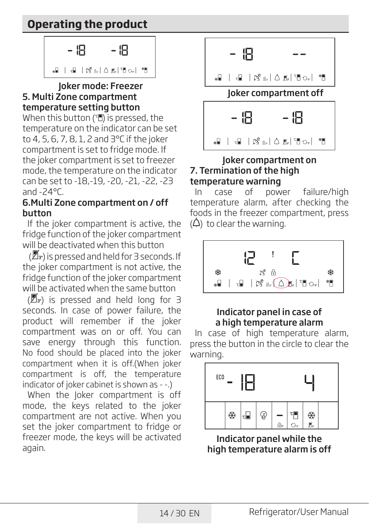$\overline{a}$ 

$$
- \left[ \begin{array}{cc} 0 & -1 \\ -1 & -1 \end{array} \right]
$$

#### Joker mode: Freezer 5. Multi Zone compartment temperature setting button

When this button  $(\mathbb{P})$  is pressed, the temperature on the indicator can be set to 4, 5, 6, 7, 8, 1, 2 and 3°C if the joker compartment is set to fridge mode. If the joker compartment is set to freezer mode, the temperature on the indicator can be set to -18,-19, -20, -21, -22, -23 and -24°C.

#### 6.Multi Zone compartment on / off button

If the joker compartment is active, the fridge function of the joker compartment will be deactivated when this button

 $(\mathbb{Z}_{3})$  is pressed and held for 3 seconds. If the joker compartment is not active, the fridge function of the joker compartment will be activated when the same button

 $(\mathbb{Z}_{3})$  is pressed and held long for 3 seconds. In case of power failure, the product will remember if the joker compartment was on or off. You can save energy through this function. No food should be placed into the joker compartment when it is off.(When joker compartment is off, the temperature indicator of joker cabinet is shown as - -.)

When the Joker compartment is off mode, the keys related to the joker compartment are not active. When you set the joker compartment to fridge or freezer mode, the keys will be activated again.

Joker compartment off

#### Joker compartment on 7. Termination of the high temperature warning

In case of power failure/high temperature alarm, after checking the foods in the freezer compartment, press  $(\hat{\Delta})$  to clear the warning.



#### Indicator panel in case of a high temperature alarm

In case of high temperature alarm, press the button in the circle to clear the warning.



Indicator panel while the high temperature alarm is off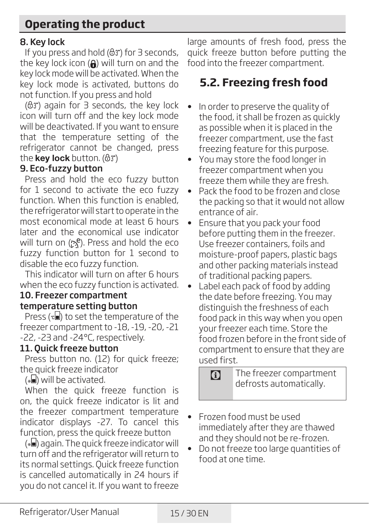## 8. Key lock

If you press and hold  $(\theta 3)$  for 3 seconds, the key lock icon  $(a)$  will turn on and the key lock mode will be activated. When the key lock mode is activated, buttons do not function. If you press and hold

 $(63)$  again for 3 seconds, the key lock icon will turn off and the key lock mode will be deactivated. If you want to ensure that the temperature setting of the refrigerator cannot be changed, press the **key lock** button.  $(\theta 3)$ 

#### 9. Eco-fuzzy button

Press and hold the eco fuzzy button for 1 second to activate the eco fuzzy function. When this function is enabled, the refrigerator will start to operate in the most economical mode at least 6 hours later and the economical use indicator will turn on  $(S^e)$ . Press and hold the eco fuzzy function button for 1 second to disable the eco fuzzy function.

This indicator will turn on after 6 hours when the eco fuzzy function is activated.

#### 10. Freezer compartment temperature setting button

Press ( $v \equiv$ ) to set the temperature of the freezer compartment to -18, -19, -20, -21 -22, -23 and -24°C, respectively.

## 11. Quick freeze button

Press button no. (12) for quick freeze; the quick freeze indicator

 $(\ast \blacksquare)$  will be activated.

When the quick freeze function is on, the quick freeze indicator is lit and the freezer compartment temperature indicator displays -27. To cancel this function, press the quick freeze button

 $(*)$  again. The quick freeze indicator will turn off and the refrigerator will return to its normal settings. Quick freeze function is cancelled automatically in 24 hours if you do not cancel it. If you want to freeze large amounts of fresh food, press the quick freeze button before putting the food into the freezer compartment.

# **5.2. Freezing fresh food**

- In order to preserve the quality of the food, it shall be frozen as quickly as possible when it is placed in the freezer compartment, use the fast freezing feature for this purpose.
- You may store the food longer in freezer compartment when you freeze them while they are fresh.
- Pack the food to be frozen and close the packing so that it would not allow entrance of air.
- Ensure that you pack your food before putting them in the freezer. Use freezer containers, foils and moisture-proof papers, plastic bags and other packing materials instead of traditional packing papers.
- Label each pack of food by adding the date before freezing. You may distinguish the freshness of each food pack in this way when you open your freezer each time. Store the food frozen before in the front side of compartment to ensure that they are used first.

**G** The freezer compartment defrosts automatically.

- Frozen food must be used immediately after they are thawed and they should not be re-frozen.
- Do not freeze too large quantities of food at one time.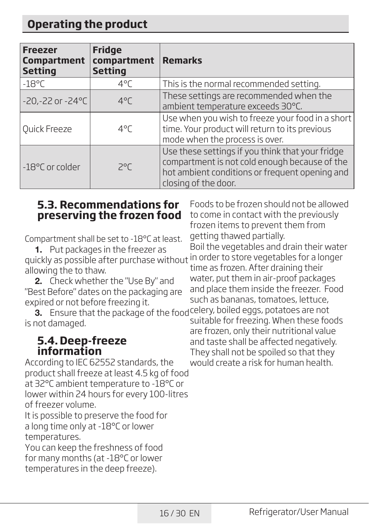| <b>Freezer</b><br><b>Compartment</b><br><b>Setting</b> | <b>Fridge</b><br>compartment<br><b>Setting</b>                                                                                                                                             | <b>Remarks</b>                          |
|--------------------------------------------------------|--------------------------------------------------------------------------------------------------------------------------------------------------------------------------------------------|-----------------------------------------|
| $-18^{\circ}$ C                                        | $4^{\circ}$ C                                                                                                                                                                              | This is the normal recommended setting. |
| $-20, -22$ or $-24$ °C                                 | These settings are recommended when the<br>$4^{\circ}$ C<br>ambient temperature exceeds 30°C.                                                                                              |                                         |
| Quick Freeze                                           | Use when you wish to freeze your food in a short<br>time. Your product will return to its previous<br>$4^{\circ}$ C<br>mode when the process is over.                                      |                                         |
| -18°C or colder                                        | Use these settings if you think that your fridge<br>compartment is not cold enough because of the<br>$2^{\circ}$<br>hot ambient conditions or frequent opening and<br>closing of the door. |                                         |

# **5.3. Recommendations for preserving the frozen food**

Compartment shall be set to -18°C at least.

1. Put packages in the freezer as quickly as possible after purchase without in order to store vegetables for a longer allowing the to thaw.

2. Check whether the "Use By" and "Best Before" dates on the packaging are expired or not before freezing it.

**3.** Ensure that the package of the food <sup>celery,</sup> boiled eggs, potatoes are not is not damaged.

## **5.4. Deep-freeze information**

According to IEC 62552 standards, the product shall freeze at least 4.5 kg of food at 32°C ambient temperature to -18°C or lower within 24 hours for every 100-litres of freezer volume.

It is possible to preserve the food for a long time only at -18°C or lower temperatures.

You can keep the freshness of food for many months (at -18°C or lower temperatures in the deep freeze).

Foods to be frozen should not be allowed to come in contact with the previously frozen items to prevent them from getting thawed partially.

Boil the vegetables and drain their water time as frozen. After draining their water, put them in air-proof packages and place them inside the freezer. Food such as bananas, tomatoes, lettuce,

suitable for freezing. When these foods are frozen, only their nutritional value and taste shall be affected negatively. They shall not be spoiled so that they would create a risk for human health.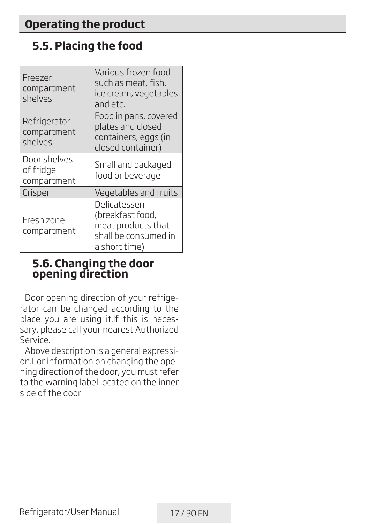# **5.5. Placing the food**

| Freezer<br>compartment<br>shelves        | Various frozen food<br>such as meat, fish,<br>ice cream, vegetables<br>and etc.                 |  |
|------------------------------------------|-------------------------------------------------------------------------------------------------|--|
| Refrigerator<br>compartment<br>shelves   | Food in pans, covered<br>plates and closed<br>containers, eggs (in<br>closed container)         |  |
| Door shelves<br>of fridge<br>compartment | Small and packaged<br>food or beverage                                                          |  |
| Crisper                                  | Vegetables and fruits                                                                           |  |
| Fresh zone<br>compartment                | Delicatessen<br>(breakfast food,<br>meat products that<br>shall be consumed in<br>a short time) |  |

# **5.6. Changing the door opening direction**

Door opening direction of your refrigerator can be changed according to the place you are using it.If this is necessary, please call your nearest Authorized Service.

Above description is a general expression.For information on changing the opening direction of the door, you must refer to the warning label located on the inner side of the door.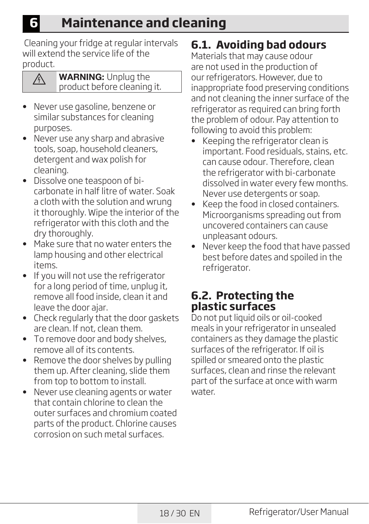# **6 Maintenance and cleaning**

 Cleaning your fridge at regular intervals will extend the service life of the product.



**A WARNING:** Unplug the product before cleaning it.

- Never use gasoline, benzene or similar substances for cleaning purposes.
- Never use any sharp and abrasive tools, soap, household cleaners, detergent and wax polish for cleaning.
- Dissolve one teaspoon of bicarbonate in half litre of water. Soak a cloth with the solution and wrung it thoroughly. Wipe the interior of the refrigerator with this cloth and the dry thoroughly.
- Make sure that no water enters the lamp housing and other electrical items.
- If you will not use the refrigerator for a long period of time, unplug it, remove all food inside, clean it and leave the door ajar.
- Check regularly that the door gaskets are clean. If not, clean them.
- To remove door and body shelves, remove all of its contents.
- Remove the door shelves by pulling them up. After cleaning, slide them from top to bottom to install.
- Never use cleaning agents or water that contain chlorine to clean the outer surfaces and chromium coated parts of the product. Chlorine causes corrosion on such metal surfaces.

# **6.1. Avoiding bad odours**

Materials that may cause odour are not used in the production of our refrigerators. However, due to inappropriate food preserving conditions and not cleaning the inner surface of the refrigerator as required can bring forth the problem of odour. Pay attention to following to avoid this problem:

- Keeping the refrigerator clean is important. Food residuals, stains, etc. can cause odour. Therefore, clean the refrigerator with bi-carbonate dissolved in water every few months. Never use detergents or soap.
- Keep the food in closed containers. Microorganisms spreading out from uncovered containers can cause unpleasant odours.
- Never keep the food that have passed best before dates and spoiled in the refrigerator.

# **6.2. Protecting the plastic surfaces**

Do not put liquid oils or oil-cooked meals in your refrigerator in unsealed containers as they damage the plastic surfaces of the refrigerator. If oil is spilled or smeared onto the plastic surfaces, clean and rinse the relevant part of the surface at once with warm water.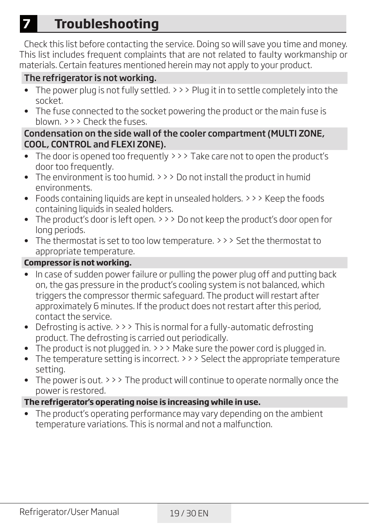# **7 Troubleshooting**

Check this list before contacting the service. Doing so will save you time and money. This list includes frequent complaints that are not related to faulty workmanship or materials. Certain features mentioned herein may not apply to your product.

#### The refrigerator is not working.

- The power plug is not fully settled. >>> Plug it in to settle completely into the socket.
- The fuse connected to the socket powering the product or the main fuse is blown. >>> Check the fuses.

#### Condensation on the side wall of the cooler compartment (MULTI ZONE, COOL, CONTROL and FLEXI ZONE).

- The door is opened too frequently >>> Take care not to open the product's door too frequently.
- The environment is too humid. > > > Do not install the product in humid environments.
- Foods containing liquids are kept in unsealed holders. > > > Keep the foods containing liquids in sealed holders.
- The product's door is left open. >>> Do not keep the product's door open for long periods.
- The thermostat is set to too low temperature. >>> Set the thermostat to appropriate temperature.

#### **Compressor is not working.**

- In case of sudden power failure or pulling the power plug off and putting back on, the gas pressure in the product's cooling system is not balanced, which triggers the compressor thermic safeguard. The product will restart after approximately 6 minutes. If the product does not restart after this period, contact the service.
- Defrosting is active. > > > This is normal for a fully-automatic defrosting product. The defrosting is carried out periodically.
- The product is not plugged in. > > > Make sure the power cord is plugged in.
- The temperature setting is incorrect. > > > Select the appropriate temperature setting.
- The power is out. > > > The product will continue to operate normally once the power is restored.

#### **The refrigerator's operating noise is increasing while in use.**

The product's operating performance may vary depending on the ambient temperature variations. This is normal and not a malfunction.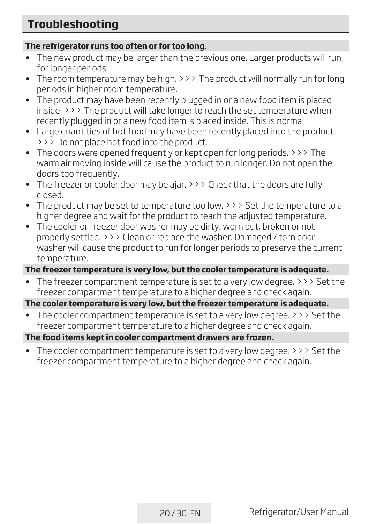# **Troubleshooting**

## **The refrigerator runs too often or for too long.**

- The new product may be larger than the previous one. Larger products will run for longer periods.
- The room temperature may be high. > > > The product will normally run for long periods in higher room temperature.
- The product may have been recently plugged in or a new food item is placed inside. >>> The product will take longer to reach the set temperature when recently plugged in or a new food item is placed inside. This is normal
- Large quantities of hot food may have been recently placed into the product. >>> Do not place hot food into the product.
- The doors were opened frequently or kept open for long periods. >>> The warm air moving inside will cause the product to run longer. Do not open the doors too frequently.
- The freezer or cooler door may be ajar. > > > Check that the doors are fully closed.
- The product may be set to temperature too low. >>> Set the temperature to a higher degree and wait for the product to reach the adjusted temperature.
- The cooler or freezer door washer may be dirty, worn out, broken or not properly settled. >>> Clean or replace the washer. Damaged / torn door washer will cause the product to run for longer periods to preserve the current temperature.

## **The freezer temperature is very low, but the cooler temperature is adequate.**

• The freezer compartment temperature is set to a very low degree. >>> Set the freezer compartment temperature to a higher degree and check again.

## **The cooler temperature is very low, but the freezer temperature is adequate.**

• The cooler compartment temperature is set to a very low degree. > > > Set the freezer compartment temperature to a higher degree and check again.

## **The food items kept in cooler compartment drawers are frozen.**

• The cooler compartment temperature is set to a very low degree. >>> Set the freezer compartment temperature to a higher degree and check again.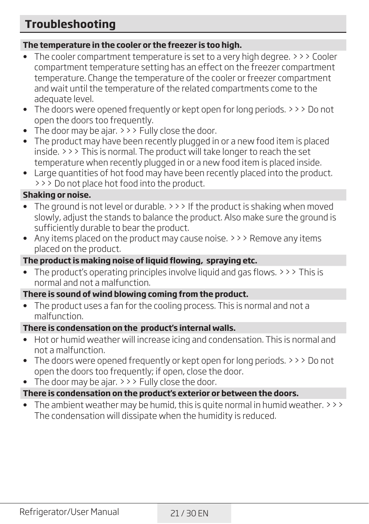#### **The temperature in the cooler or the freezer is too high.**

- The cooler compartment temperature is set to a very high degree. >>> Cooler compartment temperature setting has an effect on the freezer compartment temperature. Change the temperature of the cooler or freezer compartment and wait until the temperature of the related compartments come to the adequate level.
- The doors were opened frequently or kept open for long periods. >>> Do not open the doors too frequently.
- The door may be ajar.  $\rightarrow$   $\rightarrow$  Fully close the door.
- The product may have been recently plugged in or a new food item is placed inside. >>> This is normal. The product will take longer to reach the set temperature when recently plugged in or a new food item is placed inside.
- Large quantities of hot food may have been recently placed into the product. >>> Do not place hot food into the product.

#### **Shaking or noise.**

- The ground is not level or durable.  $\rightarrow$   $\rightarrow$  If the product is shaking when moved slowly, adjust the stands to balance the product. Also make sure the ground is sufficiently durable to bear the product.
- Any items placed on the product may cause noise. > > > Remove any items placed on the product.

#### **The product is making noise of liquid flowing, spraying etc.**

The product's operating principles involve liquid and gas flows.  $\rightarrow$   $\rightarrow$  This is normal and not a malfunction.

#### **There is sound of wind blowing coming from the product.**

• The product uses a fan for the cooling process. This is normal and not a malfunction.

#### **There is condensation on the product's internal walls.**

- Hot or humid weather will increase icing and condensation. This is normal and not a malfunction.
- The doors were opened frequently or kept open for long periods,  $\rightarrow$   $\rightarrow$  Do not open the doors too frequently; if open, close the door.
- The door may be ajar.  $\rightarrow$   $\rightarrow$  Fully close the door.

#### **There is condensation on the product's exterior or between the doors.**

• The ambient weather may be humid, this is quite normal in humid weather.  $\rightarrow$   $\rightarrow$   $\rightarrow$ The condensation will dissipate when the humidity is reduced.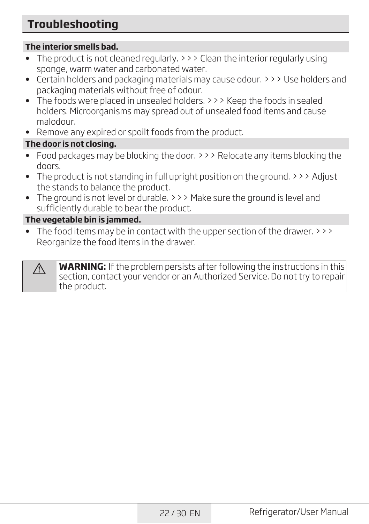# **Troubleshooting**

#### **The interior smells bad.**

- The product is not cleaned regularly. > > > Clean the interior regularly using sponge, warm water and carbonated water.
- Certain holders and packaging materials may cause odour. >>> Use holders and packaging materials without free of odour.
- The foods were placed in unsealed holders.  $\rightarrow$   $\rightarrow$  Keep the foods in sealed holders. Microorganisms may spread out of unsealed food items and cause malodour.
- Remove any expired or spoilt foods from the product.

#### **The door is not closing.**

- Food packages may be blocking the door. > > > Relocate any items blocking the doors.
- The product is not standing in full upright position on the ground. >>> Adjust the stands to balance the product.
- The ground is not level or durable. >>> Make sure the ground is level and sufficiently durable to bear the product.

#### **The vegetable bin is jammed.**

• The food items may be in contact with the upper section of the drawer.  $\rightarrow$   $\rightarrow$   $\rightarrow$ Reorganize the food items in the drawer.

**MARNING:** If the problem persists after following the instructions in this section, contact your vendor or an Authorized Service. Do not try to repair the product.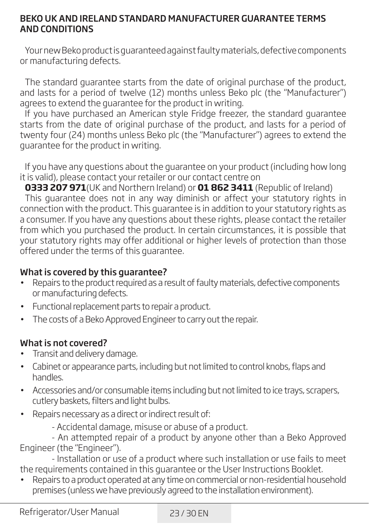#### BEKO UK AND IRELAND STANDARD MANUFACTURER GUARANTEE TERMS AND CONDITIONS

Your new Beko product is guaranteed against faulty materials, defective components or manufacturing defects.

The standard guarantee starts from the date of original purchase of the product, and lasts for a period of twelve (12) months unless Beko plc (the "Manufacturer") agrees to extend the guarantee for the product in writing.

If you have purchased an American style Fridge freezer, the standard guarantee starts from the date of original purchase of the product, and lasts for a period of twenty four (24) months unless Beko plc (the "Manufacturer") agrees to extend the guarantee for the product in writing.

If you have any questions about the guarantee on your product (including how long it is valid), please contact your retailer or our contact centre on

**0333 207 971**(UK and Northern Ireland) or **01 862 3411** (Republic of Ireland) This guarantee does not in any way diminish or affect your statutory rights in connection with the product. This guarantee is in addition to your statutory rights as a consumer. If you have any questions about these rights, please contact the retailer from which you purchased the product. In certain circumstances, it is possible that your statutory rights may offer additional or higher levels of protection than those offered under the terms of this guarantee.

#### What is covered by this guarantee?

- Repairs to the product required as a result of faulty materials, defective components or manufacturing defects.
- Functional replacement parts to repair a product.
- The costs of a Beko Approved Engineer to carry out the repair.

## What is not covered?

- Transit and delivery damage.
- Cabinet or appearance parts, including but not limited to control knobs, flaps and handles.
- Accessories and/or consumable items including but not limited to ice trays, scrapers, cutlery baskets, filters and light bulbs.
- Repairs necessary as a direct or indirect result of:
	- Accidental damage, misuse or abuse of a product.

- An attempted repair of a product by anyone other than a Beko Approved Engineer (the "Engineer").

- Installation or use of a product where such installation or use fails to meet the requirements contained in this guarantee or the User Instructions Booklet.

• Repairs to a product operated at any time on commercial or non-residential household premises (unless we have previously agreed to the installation environment).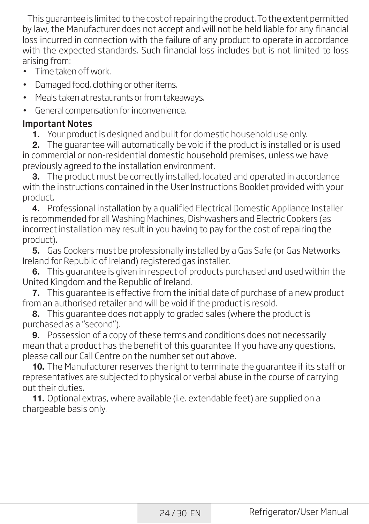This guarantee is limited to the cost of repairing the product. To the extent permitted by law, the Manufacturer does not accept and will not be held liable for any financial loss incurred in connection with the failure of any product to operate in accordance with the expected standards. Such financial loss includes but is not limited to loss arising from:

- Time taken off work.
- Damaged food, clothing or other items.
- Meals taken at restaurants or from takeaways.
- General compensation for inconvenience.

## Important Notes

1. Your product is designed and built for domestic household use only.

2. The quarantee will automatically be void if the product is installed or is used in commercial or non-residential domestic household premises, unless we have previously agreed to the installation environment.

**3.** The product must be correctly installed, located and operated in accordance with the instructions contained in the User Instructions Booklet provided with your product.

4. Professional installation by a qualified Electrical Domestic Appliance Installer is recommended for all Washing Machines, Dishwashers and Electric Cookers (as incorrect installation may result in you having to pay for the cost of repairing the product).

5. Gas Cookers must be professionally installed by a Gas Safe (or Gas Networks Ireland for Republic of Ireland) registered gas installer.

6. This guarantee is given in respect of products purchased and used within the United Kingdom and the Republic of Ireland.

7. This guarantee is effective from the initial date of purchase of a new product from an authorised retailer and will be void if the product is resold.

8. This quarantee does not apply to graded sales (where the product is purchased as a "second").

9. Possession of a copy of these terms and conditions does not necessarily mean that a product has the benefit of this guarantee. If you have any questions, please call our Call Centre on the number set out above.

10. The Manufacturer reserves the right to terminate the guarantee if its staff or representatives are subjected to physical or verbal abuse in the course of carrying out their duties.

11. Optional extras, where available (i.e. extendable feet) are supplied on a chargeable basis only.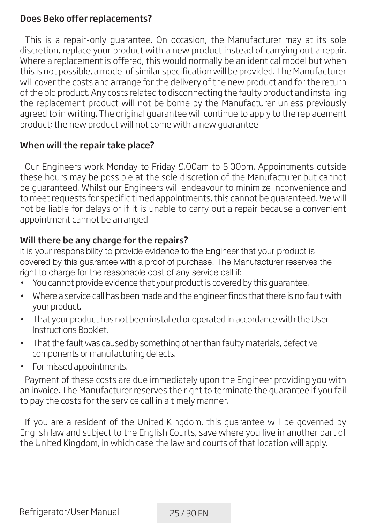## Does Beko offer replacements?

This is a repair-only guarantee. On occasion, the Manufacturer may at its sole discretion, replace your product with a new product instead of carrying out a repair. Where a replacement is offered, this would normally be an identical model but when this is not possible, a model of similar specification will be provided. The Manufacturer will cover the costs and arrange for the delivery of the new product and for the return of the old product. Any costs related to disconnecting the faulty product and installing the replacement product will not be borne by the Manufacturer unless previously agreed to in writing. The original guarantee will continue to apply to the replacement product; the new product will not come with a new guarantee.

## When will the repair take place?

Our Engineers work Monday to Friday 9.00am to 5.00pm. Appointments outside these hours may be possible at the sole discretion of the Manufacturer but cannot be guaranteed. Whilst our Engineers will endeavour to minimize inconvenience and to meet requests for specific timed appointments, this cannot be guaranteed. We will not be liable for delays or if it is unable to carry out a repair because a convenient appointment cannot be arranged.

## Will there be any charge for the repairs?

It is your responsibility to provide evidence to the Engineer that your product is covered by this guarantee with a proof of purchase. The Manufacturer reserves the right to charge for the reasonable cost of any service call if:

- You cannot provide evidence that your product is covered by this guarantee.
- Where a service call has been made and the engineer finds that there is no fault with your product.
- That your product has not been installed or operated in accordance with the User Instructions Booklet.
- That the fault was caused by something other than faulty materials, defective components or manufacturing defects.
- For missed appointments.

Payment of these costs are due immediately upon the Engineer providing you with an invoice. The Manufacturer reserves the right to terminate the guarantee if you fail to pay the costs for the service call in a timely manner.

If you are a resident of the United Kingdom, this guarantee will be governed by English law and subject to the English Courts, save where you live in another part of the United Kingdom, in which case the law and courts of that location will apply.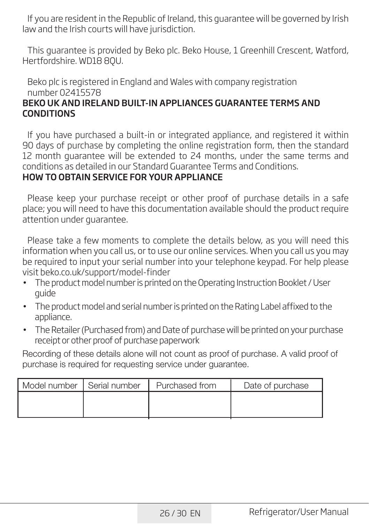If you are resident in the Republic of Ireland, this guarantee will be governed by Irish law and the Irish courts will have jurisdiction.

This guarantee is provided by Beko plc. Beko House, 1 Greenhill Crescent, Watford, Hertfordshire. WD18 8QU.

#### Beko plc is registered in England and Wales with company registration number 02415578 BEKO UK AND IRELAND BUILT-IN APPLIANCES GUARANTEE TERMS AND **CONDITIONS**

If you have purchased a built-in or integrated appliance, and registered it within 90 days of purchase by completing the online registration form, then the standard 12 month guarantee will be extended to 24 months, under the same terms and conditions as detailed in our Standard Guarantee Terms and Conditions.

## HOW TO OBTAIN SERVICE FOR YOUR APPLIANCE

Please keep your purchase receipt or other proof of purchase details in a safe place; you will need to have this documentation available should the product require attention under guarantee.

Please take a few moments to complete the details below, as you will need this information when you call us, or to use our online services. When you call us you may be required to input your serial number into your telephone keypad. For help please visit beko.co.uk/support/model-finder

- The product model number is printed on the Operating Instruction Booklet / User guide
- The product model and serial number is printed on the Rating Label affixed to the appliance.
- The Retailer (Purchased from) and Date of purchase will be printed on your purchase receipt or other proof of purchase paperwork

Recording of these details alone will not count as proof of purchase. A valid proof of purchase is required for requesting service under guarantee.

| Model number   Serial number | Purchased from | Date of purchase |
|------------------------------|----------------|------------------|
|                              |                |                  |
|                              |                |                  |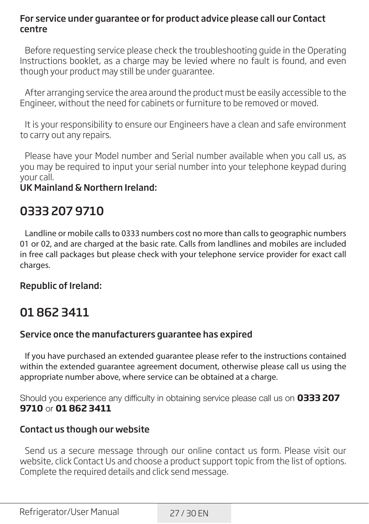#### For service under guarantee or for product advice please call our Contact centre

Before requesting service please check the troubleshooting guide in the Operating Instructions booklet, as a charge may be levied where no fault is found, and even though your product may still be under guarantee.

After arranging service the area around the product must be easily accessible to the Engineer, without the need for cabinets or furniture to be removed or moved.

It is your responsibility to ensure our Engineers have a clean and safe environment to carry out any repairs.

Please have your Model number and Serial number available when you call us, as you may be required to input your serial number into your telephone keypad during your call.

UK Mainland & Northern Ireland:

# 0333 207 9710

Landline or mobile calls to 0333 numbers cost no more than calls to geographic numbers 01 or 02, and are charged at the basic rate. Calls from landlines and mobiles are included in free call packages but please check with your telephone service provider for exact call charges.

## Republic of Ireland:

# 01 862 3411

## Service once the manufacturers guarantee has expired

If you have purchased an extended guarantee please refer to the instructions contained within the extended guarantee agreement document, otherwise please call us using the appropriate number above, where service can be obtained at a charge.

Should you experience any difficulty in obtaining service please call us on **0333 207 9710** or **01 862 3411**

## Contact us though our website

Send us a secure message through our online contact us form. Please visit our website, click Contact Us and choose a product support topic from the list of options. Complete the required details and click send message.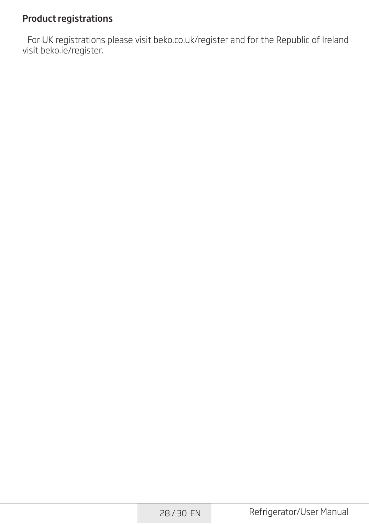# Product registrations

For UK registrations please visit beko.co.uk/register and for the Republic of Ireland visit beko.ie/register.